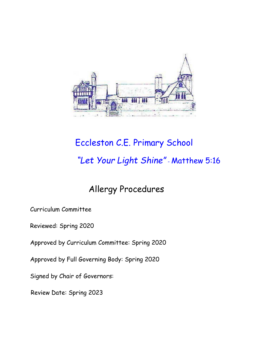

# Eccleston C.E. Primary School *"Let Your Light Shine"* - Matthew 5:16

# Allergy Procedures

Curriculum Committee

Reviewed: Spring 2020

Approved by Curriculum Committee: Spring 2020

Approved by Full Governing Body: Spring 2020

Signed by Chair of Governors:

Review Date: Spring 2023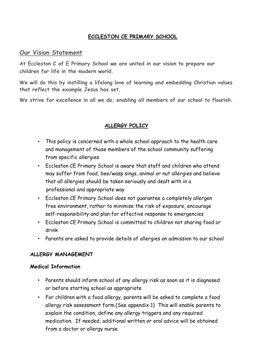#### **ECCLESTON CE PRIMARY SCHOOL**

#### **Our Vision Statement**

**At Eccleston C of E Primary School we are united in our vision to prepare our children for life in the modern world.**

**We will do this by instilling a lifelong love of learning and embedding Christian values that reflect the example Jesus has set.**

**We strive for excellence in all we do, enabling all members of our school to flourish.**

#### **ALLERGY POLICY**

- This policy is concerned with a whole school approach to the health care and management of those members of the school community suffering from specific allergies
- Eccleston CE Primary School is aware that staff and children who attend may suffer from food, bee/wasp sings, animal or nut allergies and believe that all allergies should be taken seriously and dealt with in a professional and appropriate way
- Eccleston CE Primary School does not guarantee a completely allergen free environment, rather to minimise the risk of exposure, encourage self-responsibility and plan for effective response to emergencies
- Eccleston CE Primary School is committed to children not sharing food or drink
- Parents are asked to provide details of allergies on admission to our school

#### **ALLERGY MANAGEMENT**

#### **Medical Information**

- Parents should inform school of any allergy risk as soon as it is diagnosed or before starting school as appropriate
- For children with a food allergy, parents will be asked to complete a food allergy risk assessment form.(See appendix 1) This will enable parents to explain the condition, define any allergy triggers and any required medication. If needed, additional written or oral advice will be obtained from a doctor or allergy nurse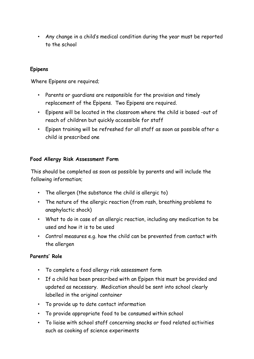• Any change in a child's medical condition during the year must be reported to the school

#### **Epipens**

Where Epipens are required;

- Parents or guardians are responsible for the provision and timely replacement of the Epipens. Two Epipens are required.
- Epipens will be located in the classroom where the child is based -out of reach of children but quickly accessible for staff
- Epipen training will be refreshed for all staff as soon as possible after a child is prescribed one

#### **Food Allergy Risk Assessment Form**

This should be completed as soon as possible by parents and will include the following information;

- The allergen (the substance the child is allergic to)
- The nature of the allergic reaction (from rash, breathing problems to anaphylactic shock)
- What to do in case of an allergic reaction, including any medication to be used and how it is to be used
- Control measures e.g. how the child can be prevented from contact with the allergen

#### **Parents' Role**

- To complete a food allergy risk assessment form
- If a child has been prescribed with an Epipen this must be provided and updated as necessary. Medication should be sent into school clearly labelled in the original container
- To provide up to date contact information
- To provide appropriate food to be consumed within school
- To liaise with school staff concerning snacks or food related activities such as cooking of science experiments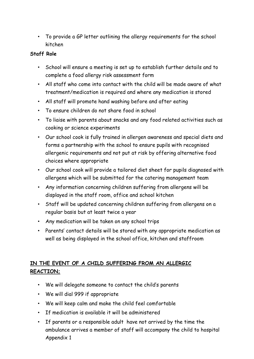• To provide a GP letter outlining the allergy requirements for the school kitchen

#### **Staff Role**

- School will ensure a meeting is set up to establish further details and to complete a food allergy risk assessment form
- All staff who come into contact with the child will be made aware of what treatment/medication is required and where any medication is stored
- All staff will promote hand washing before and after eating
- To ensure children do not share food in school
- To liaise with parents about snacks and any food related activities such as cooking or science experiments
- Our school cook is fully trained in allergen awareness and special diets and forms a partnership with the school to ensure pupils with recognised allergenic requirements and not put at risk by offering alternative food choices where appropriate
- Our school cook will provide a tailored diet sheet for pupils diagnosed with allergens which will be submitted for the catering management team
- Any information concerning children suffering from allergens will be displayed in the staff room, office and school kitchen
- Staff will be updated concerning children suffering from allergens on a regular basis but at least twice a year
- Any medication will be taken on any school trips
- Parents' contact details will be stored with any appropriate medication as well as being displayed in the school office, kitchen and staffroom

## **IN THE EVENT OF A CHILD SUFFERING FROM AN ALLERGIC REACTION;**

- We will delegate someone to contact the child's parents
- We will dial 999 if appropriate
- We will keep calm and make the child feel comfortable
- If medication is available it will be administered
- If parents or a responsible adult have not arrived by the time the ambulance arrives a member of staff will accompany the child to hospital Appendix 1